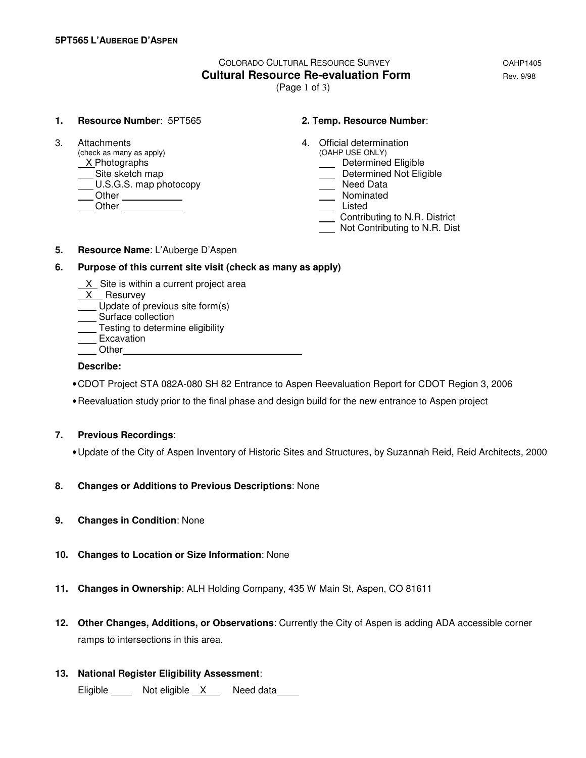# COLORADO CULTURAL RESOURCE SURVEY OAHP1405 **Cultural Resource Re-evaluation Form Equation Rev. 9/98**

(Page 1 of 3)

#### **1. Resource Number**: 5PT565 **2. Temp. Resource Number**:

(check as many as apply)  $X$ Photographs X Photographs **Determined Eligible**<br>
Site sketch map **Determined Not Eligible**  $\underline{\hspace{1cm}}$  U.S.G.S. map photocopy Other Nominated Listed Chern Chern Chern Chern Chern Chern Chern Chern Chern Chern Chern Chern Chern Chern Chern Chern Chern Chern Chern Chern Chern Chern Chern Chern Chern Chern Chern Chern Chern Chern Chern Chern Chern Chern Chern Chern

- 3. Attachments 4. Official determination<br>
(check as many as apply) (OAHP USE ONLY)
	-
	- Determined Not Eligible<br>
	Need Data
	-
	-
	-
	- Contributing to N.R. District
	- Not Contributing to N.R. Dist

**5. Resource Name**: L'Auberge D'Aspen

#### **6. Purpose of this current site visit (check as many as apply)**

- X Site is within a current project area
- X Resurvey
- Update of previous site form(s)
- Surface collection
- **Testing to determine eligibility** <u>Lesmis</u><br>Excavation
- 
- **Other**

### **Describe:**

- CDOT Project STA 082A-080 SH 82 Entrance to Aspen Reevaluation Report for CDOT Region 3, 2006
- Reevaluation study prior to the final phase and design build for the new entrance to Aspen project

### **7. Previous Recordings**:

- Update of the City of Aspen Inventory of Historic Sites and Structures, by Suzannah Reid, Reid Architects, 2000
- **8. Changes or Additions to Previous Descriptions**: None
- **9. Changes in Condition**: None
- **10. Changes to Location or Size Information**: None
- **11. Changes in Ownership**: ALH Holding Company, 435 W Main St, Aspen, CO 81611
- **12. Other Changes, Additions, or Observations**: Currently the City of Aspen is adding ADA accessible corner ramps to intersections in this area.
- **13. National Register Eligibility Assessment**:
	- Eligible Not eligible X Need data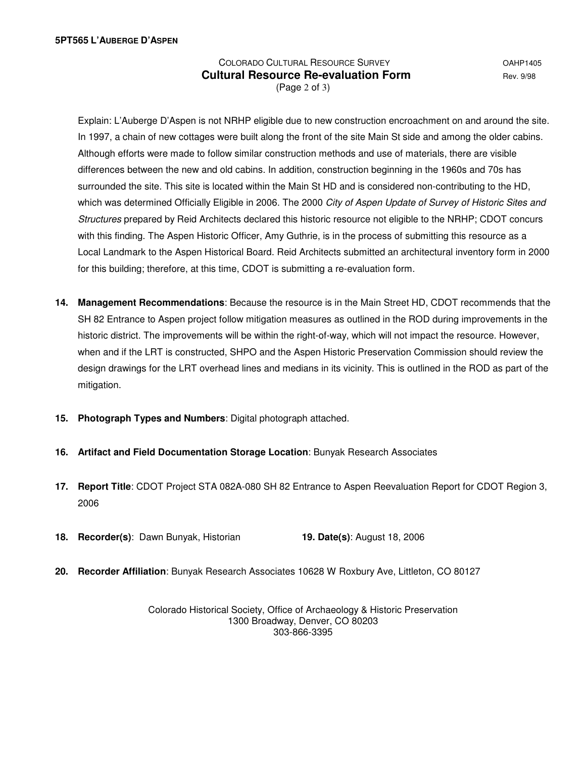## COLORADO CULTURAL RESOURCE SURVEY OAHP1405 **Cultural Resource Re-evaluation Form Equilibrity Rev. 9/98** (Page 2 of 3)

 Explain: L'Auberge D'Aspen is not NRHP eligible due to new construction encroachment on and around the site. In 1997, a chain of new cottages were built along the front of the site Main St side and among the older cabins. Although efforts were made to follow similar construction methods and use of materials, there are visible differences between the new and old cabins. In addition, construction beginning in the 1960s and 70s has surrounded the site. This site is located within the Main St HD and is considered non-contributing to the HD, which was determined Officially Eligible in 2006. The 2000 City of Aspen Update of Survey of Historic Sites and Structures prepared by Reid Architects declared this historic resource not eligible to the NRHP; CDOT concurs with this finding. The Aspen Historic Officer, Amy Guthrie, is in the process of submitting this resource as a Local Landmark to the Aspen Historical Board. Reid Architects submitted an architectural inventory form in 2000 for this building; therefore, at this time, CDOT is submitting a re-evaluation form.

- **14. Management Recommendations**: Because the resource is in the Main Street HD, CDOT recommends that the SH 82 Entrance to Aspen project follow mitigation measures as outlined in the ROD during improvements in the historic district. The improvements will be within the right-of-way, which will not impact the resource. However, when and if the LRT is constructed, SHPO and the Aspen Historic Preservation Commission should review the design drawings for the LRT overhead lines and medians in its vicinity. This is outlined in the ROD as part of the mitigation.
- **15. Photograph Types and Numbers**: Digital photograph attached.
- **16. Artifact and Field Documentation Storage Location**: Bunyak Research Associates
- **17. Report Title**: CDOT Project STA 082A-080 SH 82 Entrance to Aspen Reevaluation Report for CDOT Region 3, 2006
- **18. Recorder(s)**: Dawn Bunyak, Historian **19. Date(s)**: August 18, 2006
- **20. Recorder Affiliation**: Bunyak Research Associates 10628 W Roxbury Ave, Littleton, CO 80127

Colorado Historical Society, Office of Archaeology & Historic Preservation 1300 Broadway, Denver, CO 80203 303-866-3395